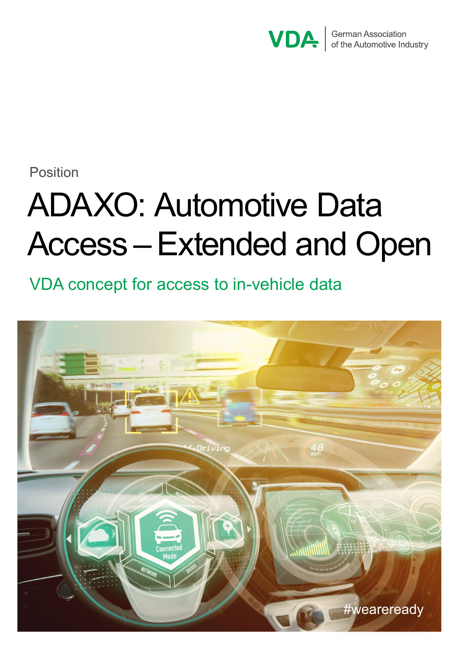

Position

# ADAXO: Automotive Data Access – Extended and Open

VDA concept for access to in-vehicle data

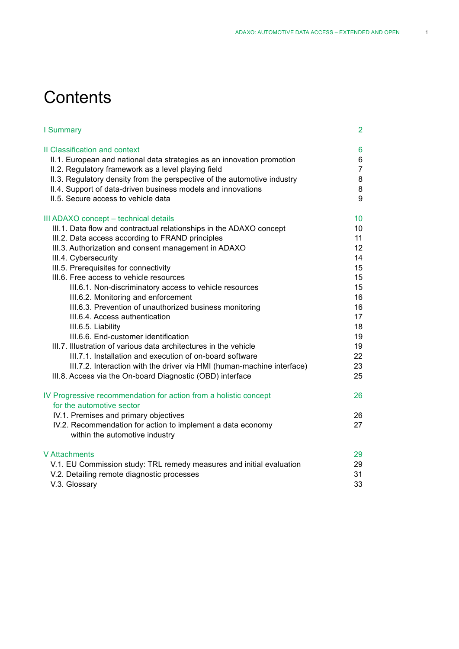# **Contents**

| I Summary                                                                                     | 2               |
|-----------------------------------------------------------------------------------------------|-----------------|
| <b>Il Classification and context</b>                                                          | 6               |
| II.1. European and national data strategies as an innovation promotion                        | 6               |
| II.2. Regulatory framework as a level playing field                                           | $\overline{7}$  |
| II.3. Regulatory density from the perspective of the automotive industry                      | 8               |
| II.4. Support of data-driven business models and innovations                                  | 8               |
| II.5. Secure access to vehicle data                                                           | 9               |
| III ADAXO concept - technical details                                                         | 10 <sup>°</sup> |
| III.1. Data flow and contractual relationships in the ADAXO concept                           | 10              |
| III.2. Data access according to FRAND principles                                              | 11              |
| III.3. Authorization and consent management in ADAXO                                          | 12              |
| III.4. Cybersecurity                                                                          | 14              |
| III.5. Prerequisites for connectivity                                                         | 15              |
| III.6. Free access to vehicle resources                                                       | 15              |
| III.6.1. Non-discriminatory access to vehicle resources                                       | 15              |
| III.6.2. Monitoring and enforcement                                                           | 16              |
| III.6.3. Prevention of unauthorized business monitoring                                       | 16              |
| III.6.4. Access authentication                                                                | 17              |
| III.6.5. Liability                                                                            | 18              |
| III.6.6. End-customer identification                                                          | 19              |
| III.7. Illustration of various data architectures in the vehicle                              | 19              |
| III.7.1. Installation and execution of on-board software                                      | 22              |
| III.7.2. Interaction with the driver via HMI (human-machine interface)                        | 23              |
| III.8. Access via the On-board Diagnostic (OBD) interface                                     | 25              |
| IV Progressive recommendation for action from a holistic concept                              | 26              |
| for the automotive sector                                                                     |                 |
| IV.1. Premises and primary objectives                                                         | 26              |
| IV.2. Recommendation for action to implement a data economy<br>within the automotive industry | 27              |
| V Attachments                                                                                 | 29              |
| V.1. EU Commission study: TRL remedy measures and initial evaluation                          | 29              |
| V.2. Detailing remote diagnostic processes                                                    | 31              |
| V.3. Glossary                                                                                 | 33              |
|                                                                                               |                 |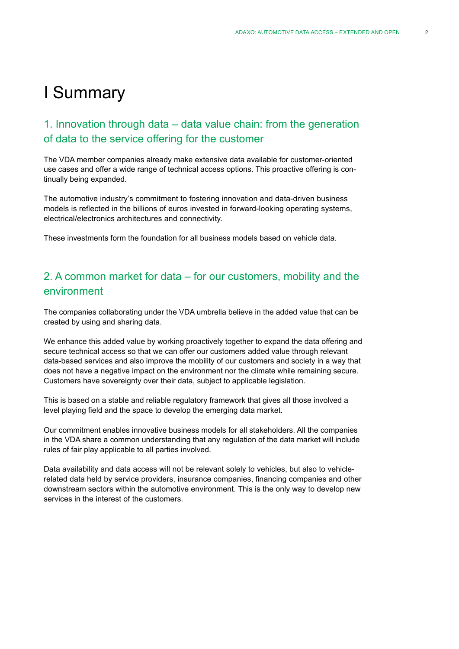# I Summary

### 1. Innovation through data – data value chain: from the generation of data to the service offering for the customer

The VDA member companies already make extensive data available for customer-oriented use cases and offer a wide range of technical access options. This proactive offering is continually being expanded.

The automotive industry's commitment to fostering innovation and data-driven business models is reflected in the billions of euros invested in forward-looking operating systems, electrical/electronics architectures and connectivity.

These investments form the foundation for all business models based on vehicle data.

### 2. A common market for data – for our customers, mobility and the environment

The companies collaborating under the VDA umbrella believe in the added value that can be created by using and sharing data.

We enhance this added value by working proactively together to expand the data offering and secure technical access so that we can offer our customers added value through relevant data-based services and also improve the mobility of our customers and society in a way that does not have a negative impact on the environment nor the climate while remaining secure. Customers have sovereignty over their data, subject to applicable legislation.

This is based on a stable and reliable regulatory framework that gives all those involved a level playing field and the space to develop the emerging data market.

Our commitment enables innovative business models for all stakeholders. All the companies in the VDA share a common understanding that any regulation of the data market will include rules of fair play applicable to all parties involved.

Data availability and data access will not be relevant solely to vehicles, but also to vehiclerelated data held by service providers, insurance companies, financing companies and other downstream sectors within the automotive environment. This is the only way to develop new services in the interest of the customers.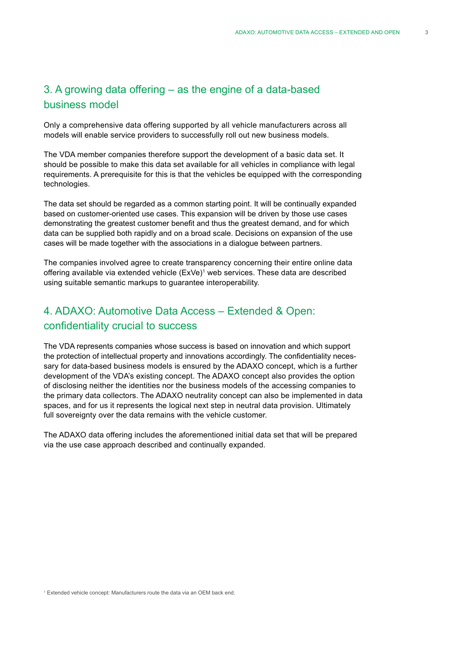### 3. A growing data offering – as the engine of a data-based business model

Only a comprehensive data offering supported by all vehicle manufacturers across all models will enable service providers to successfully roll out new business models.

The VDA member companies therefore support the development of a basic data set. It should be possible to make this data set available for all vehicles in compliance with legal requirements. A prerequisite for this is that the vehicles be equipped with the corresponding technologies.

The data set should be regarded as a common starting point. It will be continually expanded based on customer-oriented use cases. This expansion will be driven by those use cases demonstrating the greatest customer benefit and thus the greatest demand, and for which data can be supplied both rapidly and on a broad scale. Decisions on expansion of the use cases will be made together with the associations in a dialogue between partners.

The companies involved agree to create transparency concerning their entire online data offering available via extended vehicle (ExVe)<sup>1</sup> web services. These data are described using suitable semantic markups to guarantee interoperability.

### 4. ADAXO: Automotive Data Access – Extended & Open: confidentiality crucial to success

The VDA represents companies whose success is based on innovation and which support the protection of intellectual property and innovations accordingly. The confidentiality necessary for data-based business models is ensured by the ADAXO concept, which is a further development of the VDA's existing concept. The ADAXO concept also provides the option of disclosing neither the identities nor the business models of the accessing companies to the primary data collectors. The ADAXO neutrality concept can also be implemented in data spaces, and for us it represents the logical next step in neutral data provision. Ultimately full sovereignty over the data remains with the vehicle customer.

The ADAXO data offering includes the aforementioned initial data set that will be prepared via the use case approach described and continually expanded.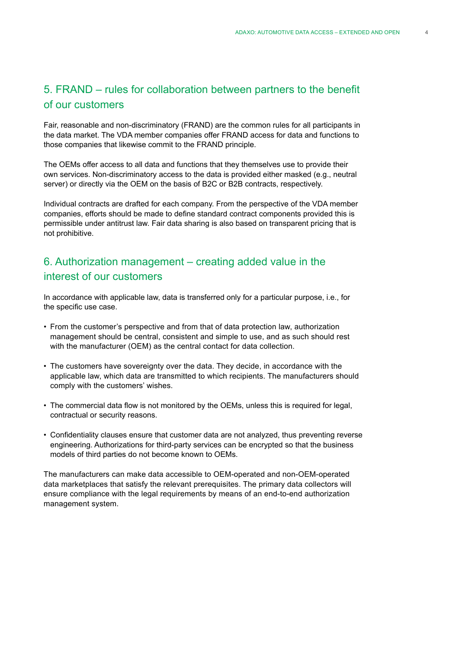### 5. FRAND – rules for collaboration between partners to the benefit of our customers

Fair, reasonable and non-discriminatory (FRAND) are the common rules for all participants in the data market. The VDA member companies offer FRAND access for data and functions to those companies that likewise commit to the FRAND principle.

The OEMs offer access to all data and functions that they themselves use to provide their own services. Non-discriminatory access to the data is provided either masked (e.g., neutral server) or directly via the OEM on the basis of B2C or B2B contracts, respectively.

Individual contracts are drafted for each company. From the perspective of the VDA member companies, efforts should be made to define standard contract components provided this is permissible under antitrust law. Fair data sharing is also based on transparent pricing that is not prohibitive.

### 6. Authorization management – creating added value in the interest of our customers

In accordance with applicable law, data is transferred only for a particular purpose, i.e., for the specific use case.

- From the customer's perspective and from that of data protection law, authorization management should be central, consistent and simple to use, and as such should rest with the manufacturer (OEM) as the central contact for data collection.
- The customers have sovereignty over the data. They decide, in accordance with the applicable law, which data are transmitted to which recipients. The manufacturers should comply with the customers' wishes.
- The commercial data flow is not monitored by the OEMs, unless this is required for legal, contractual or security reasons.
- Confidentiality clauses ensure that customer data are not analyzed, thus preventing reverse engineering. Authorizations for third-party services can be encrypted so that the business models of third parties do not become known to OEMs.

The manufacturers can make data accessible to OEM-operated and non-OEM-operated data marketplaces that satisfy the relevant prerequisites. The primary data collectors will ensure compliance with the legal requirements by means of an end-to-end authorization management system.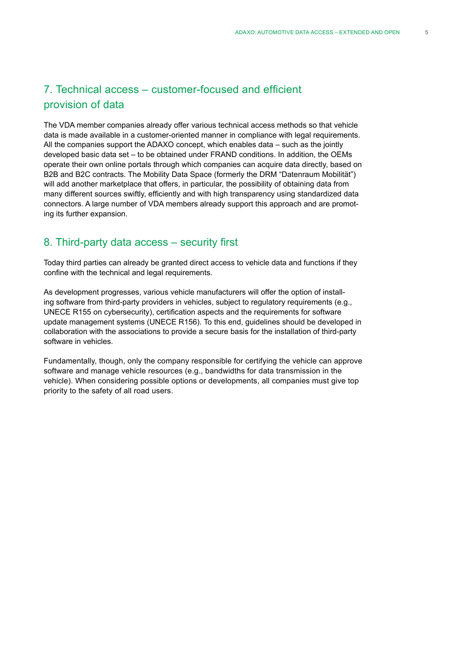### 7. Technical access – customer-focused and efficient provision of data

The VDA member companies already offer various technical access methods so that vehicle data is made available in a customer-oriented manner in compliance with legal requirements. All the companies support the ADAXO concept, which enables data – such as the jointly developed basic data set – to be obtained under FRAND conditions. In addition, the OEMs operate their own online portals through which companies can acquire data directly, based on B2B and B2C contracts. The Mobility Data Space (formerly the DRM "Datenraum Mobilität") will add another marketplace that offers, in particular, the possibility of obtaining data from many different sources swiftly, efficiently and with high transparency using standardized data connectors. A large number of VDA members already support this approach and are promoting its further expansion.

### 8. Third-party data access – security first

Today third parties can already be granted direct access to vehicle data and functions if they confine with the technical and legal requirements.

As development progresses, various vehicle manufacturers will offer the option of installing software from third-party providers in vehicles, subject to regulatory requirements (e.g., UNECE R155 on cybersecurity), certification aspects and the requirements for software update management systems (UNECE R156). To this end, guidelines should be developed in collaboration with the associations to provide a secure basis for the installation of third-party software in vehicles.

Fundamentally, though, only the company responsible for certifying the vehicle can approve software and manage vehicle resources (e.g., bandwidths for data transmission in the vehicle). When considering possible options or developments, all companies must give top priority to the safety of all road users.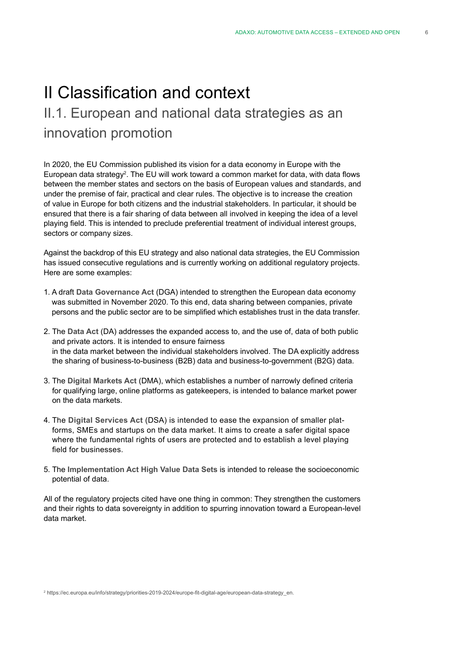# II Classification and context

# II.1. European and national data strategies as an innovation promotion

In 2020, the EU Commission published its vision for a data economy in Europe with the European data strategy $^2$ . The EU will work toward a common market for data, with data flows between the member states and sectors on the basis of European values and standards, and under the premise of fair, practical and clear rules. The objective is to increase the creation of value in Europe for both citizens and the industrial stakeholders. In particular, it should be ensured that there is a fair sharing of data between all involved in keeping the idea of a level playing field. This is intended to preclude preferential treatment of individual interest groups, sectors or company sizes.

Against the backdrop of this EU strategy and also national data strategies, the EU Commission has issued consecutive regulations and is currently working on additional regulatory projects. Here are some examples:

- 1. A draft **Data Governance Act** (DGA) intended to strengthen the European data economy was submitted in November 2020. To this end, data sharing between companies, private persons and the public sector are to be simplified which establishes trust in the data transfer.
- 2. The **Data Act** (DA) addresses the expanded access to, and the use of, data of both public and private actors. It is intended to ensure fairness in the data market between the individual stakeholders involved. The DA explicitly address the sharing of business-to-business (B2B) data and business-to-government (B2G) data.
- 3. The **Digital Markets Act** (DMA), which establishes a number of narrowly defined criteria for qualifying large, online platforms as gatekeepers, is intended to balance market power on the data markets.
- 4. The **Digital Services Act** (DSA) is intended to ease the expansion of smaller platforms, SMEs and startups on the data market. It aims to create a safer digital space where the fundamental rights of users are protected and to establish a level playing field for businesses.
- 5. The **Implementation Act High Value Data Sets** is intended to release the socioeconomic potential of data.

All of the regulatory projects cited have one thing in common: They strengthen the customers and their rights to data sovereignty in addition to spurring innovation toward a European-level data market.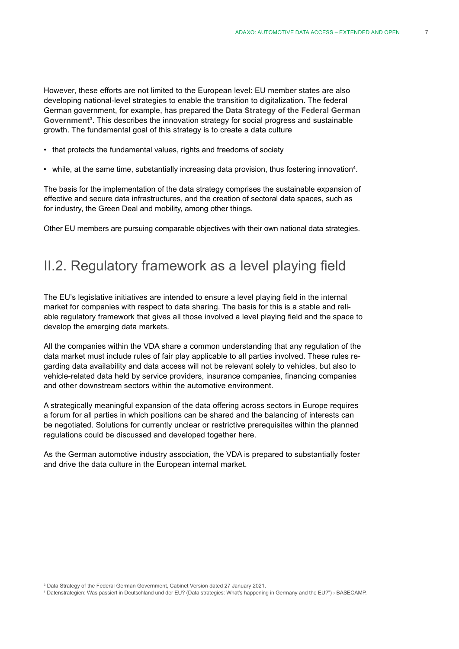However, these efforts are not limited to the European level: EU member states are also developing national-level strategies to enable the transition to digitalization. The federal German government, for example, has prepared the **Data Strategy of the Federal German Government3** . This describes the innovation strategy for social progress and sustainable growth. The fundamental goal of this strategy is to create a data culture

- that protects the fundamental values, rights and freedoms of society
- while, at the same time, substantially increasing data provision, thus fostering innovation<sup>4</sup>.

The basis for the implementation of the data strategy comprises the sustainable expansion of effective and secure data infrastructures, and the creation of sectoral data spaces, such as for industry, the Green Deal and mobility, among other things.

Other EU members are pursuing comparable objectives with their own national data strategies.

# II.2. Regulatory framework as a level playing field

The EU's legislative initiatives are intended to ensure a level playing field in the internal market for companies with respect to data sharing. The basis for this is a stable and reliable regulatory framework that gives all those involved a level playing field and the space to develop the emerging data markets.

All the companies within the VDA share a common understanding that any regulation of the data market must include rules of fair play applicable to all parties involved. These rules regarding data availability and data access will not be relevant solely to vehicles, but also to vehicle-related data held by service providers, insurance companies, financing companies and other downstream sectors within the automotive environment.

A strategically meaningful expansion of the data offering across sectors in Europe requires a forum for all parties in which positions can be shared and the balancing of interests can be negotiated. Solutions for currently unclear or restrictive prerequisites within the planned regulations could be discussed and developed together here.

As the German automotive industry association, the VDA is prepared to substantially foster and drive the data culture in the European internal market.

<sup>&</sup>lt;sup>3</sup> Data Strategy of the Federal German Government, Cabinet Version dated 27 January 2021.

<sup>4</sup> Datenstrategien: Was passiert in Deutschland und der EU? (Data strategies: What's happening in Germany and the EU?") › BASECAMP.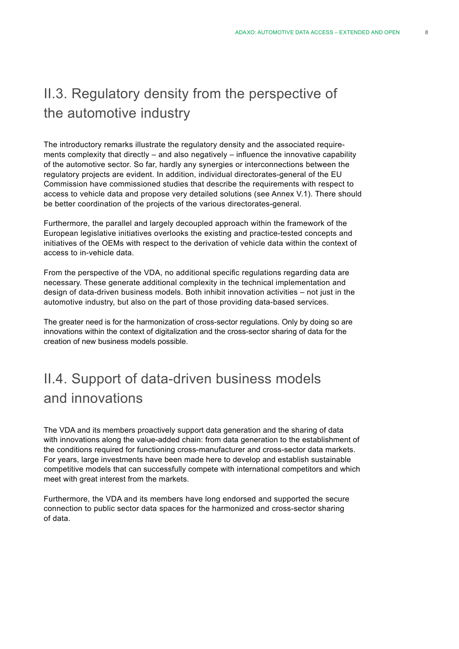# II.3. Regulatory density from the perspective of the automotive industry

The introductory remarks illustrate the regulatory density and the associated requirements complexity that directly – and also negatively – influence the innovative capability of the automotive sector. So far, hardly any synergies or interconnections between the regulatory projects are evident. In addition, individual directorates-general of the EU Commission have commissioned studies that describe the requirements with respect to access to vehicle data and propose very detailed solutions (see Annex V.1). There should be better coordination of the projects of the various directorates-general.

Furthermore, the parallel and largely decoupled approach within the framework of the European legislative initiatives overlooks the existing and practice-tested concepts and initiatives of the OEMs with respect to the derivation of vehicle data within the context of access to in-vehicle data.

From the perspective of the VDA, no additional specific regulations regarding data are necessary. These generate additional complexity in the technical implementation and design of data-driven business models. Both inhibit innovation activities – not just in the automotive industry, but also on the part of those providing data-based services.

The greater need is for the harmonization of cross-sector regulations. Only by doing so are innovations within the context of digitalization and the cross-sector sharing of data for the creation of new business models possible.

# II.4. Support of data-driven business models and innovations

The VDA and its members proactively support data generation and the sharing of data with innovations along the value-added chain: from data generation to the establishment of the conditions required for functioning cross-manufacturer and cross-sector data markets. For years, large investments have been made here to develop and establish sustainable competitive models that can successfully compete with international competitors and which meet with great interest from the markets.

Furthermore, the VDA and its members have long endorsed and supported the secure connection to public sector data spaces for the harmonized and cross-sector sharing of data.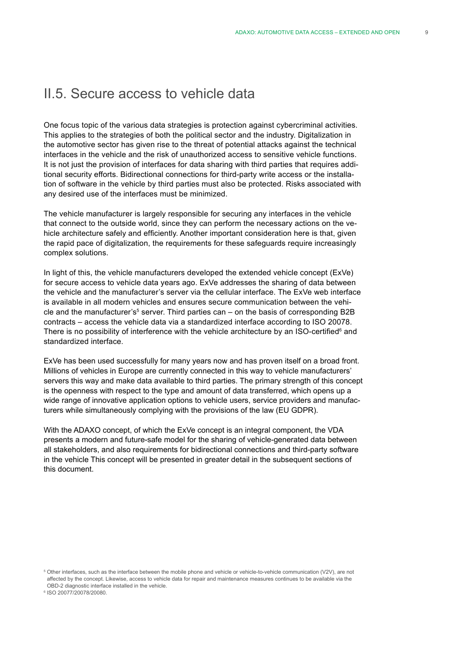# II.5. Secure access to vehicle data

One focus topic of the various data strategies is protection against cybercriminal activities. This applies to the strategies of both the political sector and the industry. Digitalization in the automotive sector has given rise to the threat of potential attacks against the technical interfaces in the vehicle and the risk of unauthorized access to sensitive vehicle functions. It is not just the provision of interfaces for data sharing with third parties that requires additional security efforts. Bidirectional connections for third-party write access or the installation of software in the vehicle by third parties must also be protected. Risks associated with any desired use of the interfaces must be minimized.

The vehicle manufacturer is largely responsible for securing any interfaces in the vehicle that connect to the outside world, since they can perform the necessary actions on the vehicle architecture safely and efficiently. Another important consideration here is that, given the rapid pace of digitalization, the requirements for these safeguards require increasingly complex solutions.

In light of this, the vehicle manufacturers developed the extended vehicle concept (ExVe) for secure access to vehicle data years ago. ExVe addresses the sharing of data between the vehicle and the manufacturer's server via the cellular interface. The ExVe web interface is available in all modern vehicles and ensures secure communication between the vehicle and the manufacturer's<sup>5</sup> server. Third parties can – on the basis of corresponding B2B contracts – access the vehicle data via a standardized interface according to ISO 20078. There is no possibility of interference with the vehicle architecture by an ISO-certified<sup>6</sup> and standardized interface.

ExVe has been used successfully for many years now and has proven itself on a broad front. Millions of vehicles in Europe are currently connected in this way to vehicle manufacturers' servers this way and make data available to third parties. The primary strength of this concept is the openness with respect to the type and amount of data transferred, which opens up a wide range of innovative application options to vehicle users, service providers and manufacturers while simultaneously complying with the provisions of the law (EU GDPR).

With the ADAXO concept, of which the ExVe concept is an integral component, the VDA presents a modern and future-safe model for the sharing of vehicle-generated data between all stakeholders, and also requirements for bidirectional connections and third-party software in the vehicle This concept will be presented in greater detail in the subsequent sections of this document.

<sup>6</sup> ISO 20077/20078/20080.

<sup>5</sup> Other interfaces, such as the interface between the mobile phone and vehicle or vehicle-to-vehicle communication (V2V), are not affected by the concept. Likewise, access to vehicle data for repair and maintenance measures continues to be available via the OBD-2 diagnostic interface installed in the vehicle.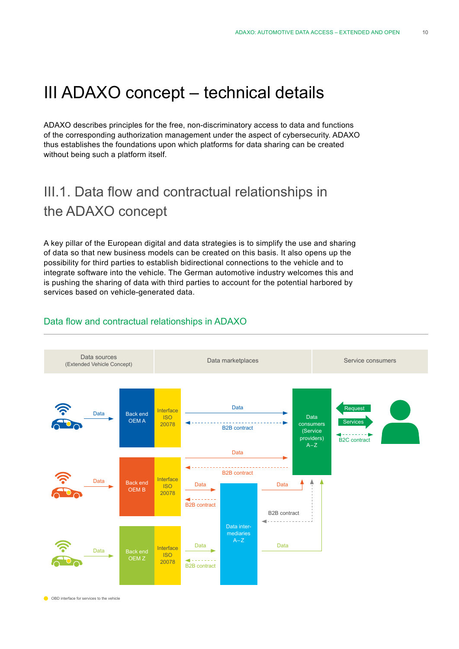# III ADAXO concept – technical details

ADAXO describes principles for the free, non-discriminatory access to data and functions of the corresponding authorization management under the aspect of cybersecurity. ADAXO thus establishes the foundations upon which platforms for data sharing can be created without being such a platform itself.

# III.1. Data flow and contractual relationships in the ADAXO concept

A key pillar of the European digital and data strategies is to simplify the use and sharing of data so that new business models can be created on this basis. It also opens up the possibility for third parties to establish bidirectional connections to the vehicle and to integrate software into the vehicle. The German automotive industry welcomes this and is pushing the sharing of data with third parties to account for the potential harbored by services based on vehicle-generated data.



### Data flow and contractual relationships in ADAXO

OBD interface for services to the vehicle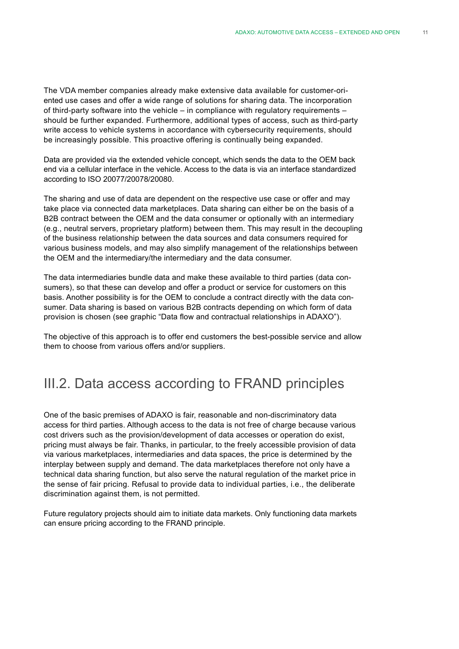The VDA member companies already make extensive data available for customer-oriented use cases and offer a wide range of solutions for sharing data. The incorporation of third-party software into the vehicle – in compliance with regulatory requirements – should be further expanded. Furthermore, additional types of access, such as third-party write access to vehicle systems in accordance with cybersecurity requirements, should be increasingly possible. This proactive offering is continually being expanded.

Data are provided via the extended vehicle concept, which sends the data to the OEM back end via a cellular interface in the vehicle. Access to the data is via an interface standardized according to ISO 20077/20078/20080.

The sharing and use of data are dependent on the respective use case or offer and may take place via connected data marketplaces. Data sharing can either be on the basis of a B2B contract between the OEM and the data consumer or optionally with an intermediary (e.g., neutral servers, proprietary platform) between them. This may result in the decoupling of the business relationship between the data sources and data consumers required for various business models, and may also simplify management of the relationships between the OEM and the intermediary/the intermediary and the data consumer.

The data intermediaries bundle data and make these available to third parties (data consumers), so that these can develop and offer a product or service for customers on this basis. Another possibility is for the OEM to conclude a contract directly with the data consumer. Data sharing is based on various B2B contracts depending on which form of data provision is chosen (see graphic "Data flow and contractual relationships in ADAXO").

The objective of this approach is to offer end customers the best-possible service and allow them to choose from various offers and/or suppliers.

# III.2. Data access according to FRAND principles

One of the basic premises of ADAXO is fair, reasonable and non-discriminatory data access for third parties. Although access to the data is not free of charge because various cost drivers such as the provision/development of data accesses or operation do exist, pricing must always be fair. Thanks, in particular, to the freely accessible provision of data via various marketplaces, intermediaries and data spaces, the price is determined by the interplay between supply and demand. The data marketplaces therefore not only have a technical data sharing function, but also serve the natural regulation of the market price in the sense of fair pricing. Refusal to provide data to individual parties, i.e., the deliberate discrimination against them, is not permitted.

Future regulatory projects should aim to initiate data markets. Only functioning data markets can ensure pricing according to the FRAND principle.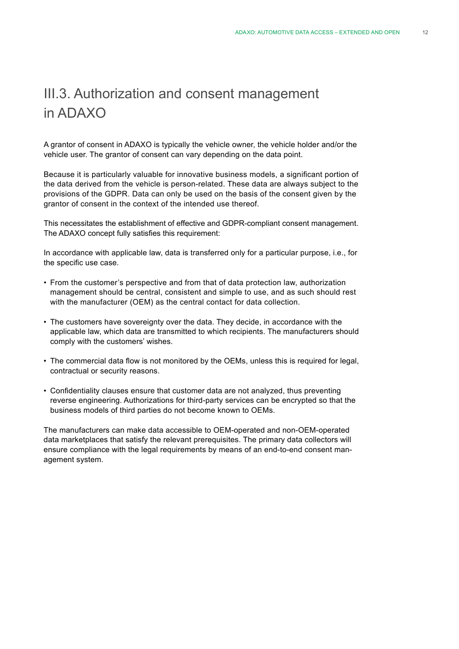# III.3. Authorization and consent management in ADAXO

A grantor of consent in ADAXO is typically the vehicle owner, the vehicle holder and/or the vehicle user. The grantor of consent can vary depending on the data point.

Because it is particularly valuable for innovative business models, a significant portion of the data derived from the vehicle is person-related. These data are always subject to the provisions of the GDPR. Data can only be used on the basis of the consent given by the grantor of consent in the context of the intended use thereof.

This necessitates the establishment of effective and GDPR-compliant consent management. The ADAXO concept fully satisfies this requirement:

In accordance with applicable law, data is transferred only for a particular purpose, i.e., for the specific use case.

- From the customer's perspective and from that of data protection law, authorization management should be central, consistent and simple to use, and as such should rest with the manufacturer (OEM) as the central contact for data collection.
- The customers have sovereignty over the data. They decide, in accordance with the applicable law, which data are transmitted to which recipients. The manufacturers should comply with the customers' wishes.
- The commercial data flow is not monitored by the OEMs, unless this is required for legal, contractual or security reasons.
- Confidentiality clauses ensure that customer data are not analyzed, thus preventing reverse engineering. Authorizations for third-party services can be encrypted so that the business models of third parties do not become known to OEMs.

The manufacturers can make data accessible to OEM-operated and non-OEM-operated data marketplaces that satisfy the relevant prerequisites. The primary data collectors will ensure compliance with the legal requirements by means of an end-to-end consent management system.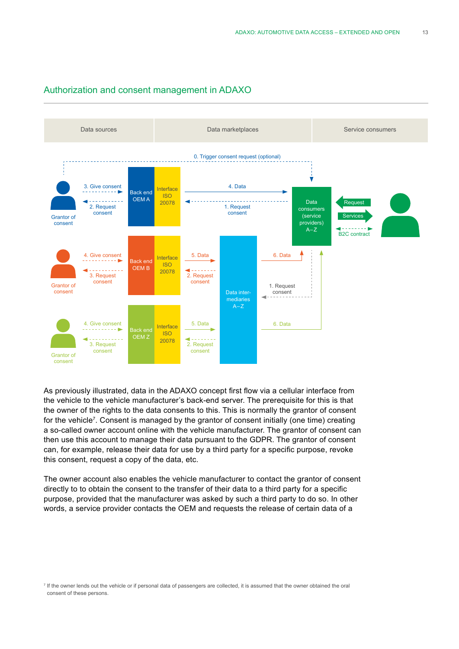#### Authorization and consent management in ADAXO



As previously illustrated, data in the ADAXO concept first flow via a cellular interface from the vehicle to the vehicle manufacturer's back-end server. The prerequisite for this is that the owner of the rights to the data consents to this. This is normally the grantor of consent for the vehicle<sup>7</sup>. Consent is managed by the grantor of consent initially (one time) creating a so-called owner account online with the vehicle manufacturer. The grantor of consent can then use this account to manage their data pursuant to the GDPR. The grantor of consent can, for example, release their data for use by a third party for a specific purpose, revoke this consent, request a copy of the data, etc.

The owner account also enables the vehicle manufacturer to contact the grantor of consent directly to to obtain the consent to the transfer of their data to a third party for a specific purpose, provided that the manufacturer was asked by such a third party to do so. In other words, a service provider contacts the OEM and requests the release of certain data of a

<sup>7</sup> If the owner lends out the vehicle or if personal data of passengers are collected, it is assumed that the owner obtained the oral consent of these persons.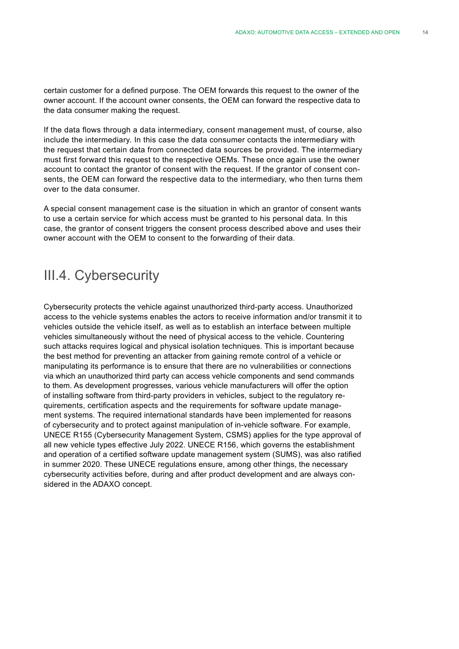certain customer for a defined purpose. The OEM forwards this request to the owner of the owner account. If the account owner consents, the OEM can forward the respective data to the data consumer making the request.

If the data flows through a data intermediary, consent management must, of course, also include the intermediary. In this case the data consumer contacts the intermediary with the request that certain data from connected data sources be provided. The intermediary must first forward this request to the respective OEMs. These once again use the owner account to contact the grantor of consent with the request. If the grantor of consent consents, the OEM can forward the respective data to the intermediary, who then turns them over to the data consumer.

A special consent management case is the situation in which an grantor of consent wants to use a certain service for which access must be granted to his personal data. In this case, the grantor of consent triggers the consent process described above and uses their owner account with the OEM to consent to the forwarding of their data.

# III.4. Cybersecurity

Cybersecurity protects the vehicle against unauthorized third-party access. Unauthorized access to the vehicle systems enables the actors to receive information and/or transmit it to vehicles outside the vehicle itself, as well as to establish an interface between multiple vehicles simultaneously without the need of physical access to the vehicle. Countering such attacks requires logical and physical isolation techniques. This is important because the best method for preventing an attacker from gaining remote control of a vehicle or manipulating its performance is to ensure that there are no vulnerabilities or connections via which an unauthorized third party can access vehicle components and send commands to them. As development progresses, various vehicle manufacturers will offer the option of installing software from third-party providers in vehicles, subject to the regulatory requirements, certification aspects and the requirements for software update management systems. The required international standards have been implemented for reasons of cybersecurity and to protect against manipulation of in-vehicle software. For example, UNECE R155 (Cybersecurity Management System, CSMS) applies for the type approval of all new vehicle types effective July 2022. UNECE R156, which governs the establishment and operation of a certified software update management system (SUMS), was also ratified in summer 2020. These UNECE regulations ensure, among other things, the necessary cybersecurity activities before, during and after product development and are always considered in the ADAXO concept.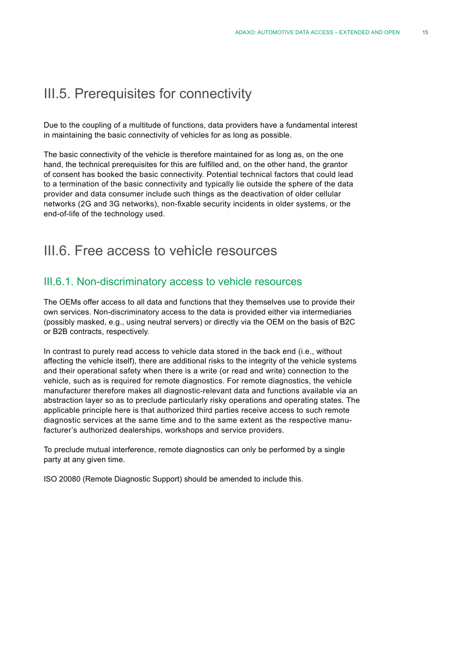# III.5. Prerequisites for connectivity

Due to the coupling of a multitude of functions, data providers have a fundamental interest in maintaining the basic connectivity of vehicles for as long as possible.

The basic connectivity of the vehicle is therefore maintained for as long as, on the one hand, the technical prerequisites for this are fulfilled and, on the other hand, the grantor of consent has booked the basic connectivity. Potential technical factors that could lead to a termination of the basic connectivity and typically lie outside the sphere of the data provider and data consumer include such things as the deactivation of older cellular networks (2G and 3G networks), non-fixable security incidents in older systems, or the end-of-life of the technology used.

# III.6. Free access to vehicle resources

### III.6.1. Non-discriminatory access to vehicle resources

The OEMs offer access to all data and functions that they themselves use to provide their own services. Non-discriminatory access to the data is provided either via intermediaries (possibly masked, e.g., using neutral servers) or directly via the OEM on the basis of B2C or B2B contracts, respectively.

In contrast to purely read access to vehicle data stored in the back end (i.e., without affecting the vehicle itself), there are additional risks to the integrity of the vehicle systems and their operational safety when there is a write (or read and write) connection to the vehicle, such as is required for remote diagnostics. For remote diagnostics, the vehicle manufacturer therefore makes all diagnostic-relevant data and functions available via an abstraction layer so as to preclude particularly risky operations and operating states. The applicable principle here is that authorized third parties receive access to such remote diagnostic services at the same time and to the same extent as the respective manufacturer's authorized dealerships, workshops and service providers.

To preclude mutual interference, remote diagnostics can only be performed by a single party at any given time.

ISO 20080 (Remote Diagnostic Support) should be amended to include this.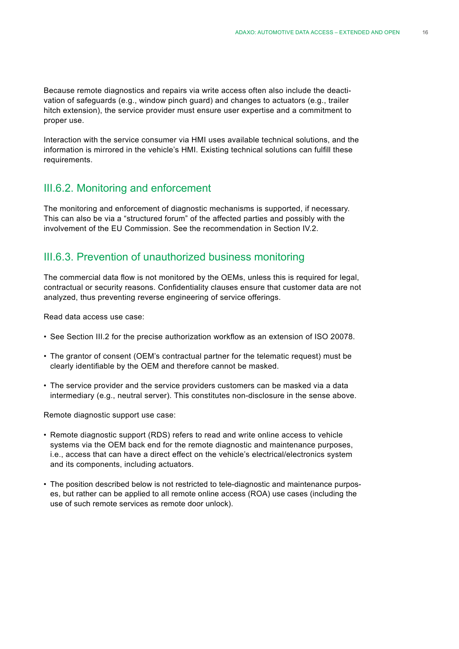Because remote diagnostics and repairs via write access often also include the deactivation of safeguards (e.g., window pinch guard) and changes to actuators (e.g., trailer hitch extension), the service provider must ensure user expertise and a commitment to proper use.

Interaction with the service consumer via HMI uses available technical solutions, and the information is mirrored in the vehicle's HMI. Existing technical solutions can fulfill these requirements.

### III.6.2. Monitoring and enforcement

The monitoring and enforcement of diagnostic mechanisms is supported, if necessary. This can also be via a "structured forum" of the affected parties and possibly with the involvement of the EU Commission. See the recommendation in Section IV.2.

# III.6.3. Prevention of unauthorized business monitoring

The commercial data flow is not monitored by the OEMs, unless this is required for legal, contractual or security reasons. Confidentiality clauses ensure that customer data are not analyzed, thus preventing reverse engineering of service offerings.

Read data access use case:

- See Section III.2 for the precise authorization workflow as an extension of ISO 20078.
- The grantor of consent (OEM's contractual partner for the telematic request) must be clearly identifiable by the OEM and therefore cannot be masked.
- The service provider and the service providers customers can be masked via a data intermediary (e.g., neutral server). This constitutes non-disclosure in the sense above.

Remote diagnostic support use case:

- Remote diagnostic support (RDS) refers to read and write online access to vehicle systems via the OEM back end for the remote diagnostic and maintenance purposes, i.e., access that can have a direct effect on the vehicle's electrical/electronics system and its components, including actuators.
- The position described below is not restricted to tele-diagnostic and maintenance purposes, but rather can be applied to all remote online access (ROA) use cases (including the use of such remote services as remote door unlock).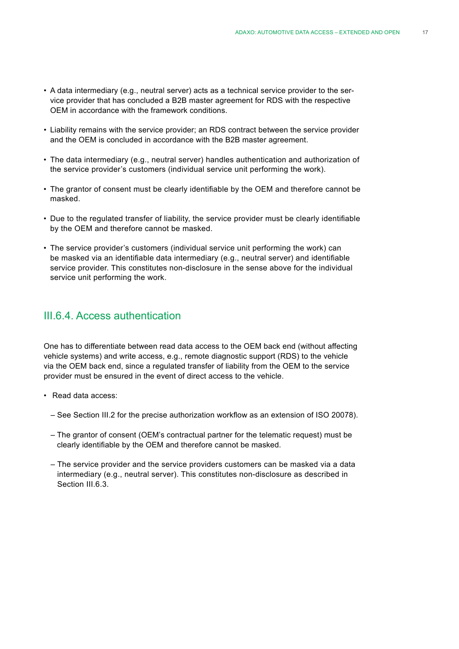- A data intermediary (e.g., neutral server) acts as a technical service provider to the service provider that has concluded a B2B master agreement for RDS with the respective OEM in accordance with the framework conditions.
- Liability remains with the service provider; an RDS contract between the service provider and the OEM is concluded in accordance with the B2B master agreement.
- The data intermediary (e.g., neutral server) handles authentication and authorization of the service provider's customers (individual service unit performing the work).
- The grantor of consent must be clearly identifiable by the OEM and therefore cannot be masked.
- Due to the regulated transfer of liability, the service provider must be clearly identifiable by the OEM and therefore cannot be masked.
- The service provider's customers (individual service unit performing the work) can be masked via an identifiable data intermediary (e.g., neutral server) and identifiable service provider. This constitutes non-disclosure in the sense above for the individual service unit performing the work.

### III.6.4. Access authentication

One has to differentiate between read data access to the OEM back end (without affecting vehicle systems) and write access, e.g., remote diagnostic support (RDS) to the vehicle via the OEM back end, since a regulated transfer of liability from the OEM to the service provider must be ensured in the event of direct access to the vehicle.

- Read data access:
	- See Section III.2 for the precise authorization workflow as an extension of ISO 20078).
	- The grantor of consent (OEM's contractual partner for the telematic request) must be clearly identifiable by the OEM and therefore cannot be masked.
	- The service provider and the service providers customers can be masked via a data intermediary (e.g., neutral server). This constitutes non-disclosure as described in Section III.6.3.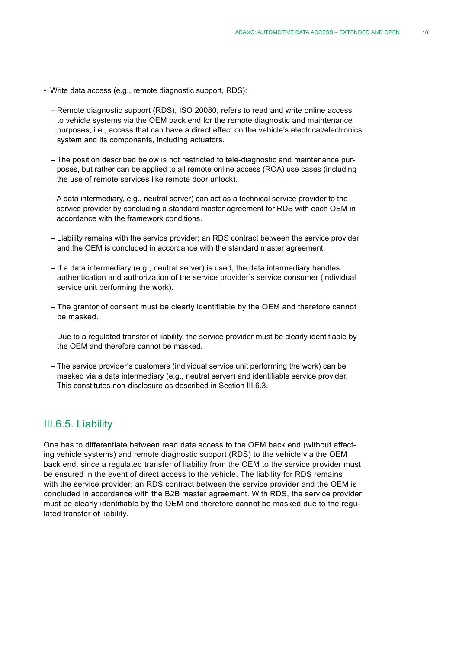- Write data access (e.g., remote diagnostic support, RDS):
	- Remote diagnostic support (RDS), ISO 20080, refers to read and write online access to vehicle systems via the OEM back end for the remote diagnostic and maintenance purposes, i.e., access that can have a direct effect on the vehicle's electrical/electronics system and its components, including actuators.
	- The position described below is not restricted to tele-diagnostic and maintenance purposes, but rather can be applied to all remote online access (ROA) use cases (including the use of remote services like remote door unlock).
	- A data intermediary, e.g., neutral server) can act as a technical service provider to the service provider by concluding a standard master agreement for RDS with each OEM in accordance with the framework conditions.
	- Liability remains with the service provider; an RDS contract between the service provider and the OEM is concluded in accordance with the standard master agreement.
	- If a data intermediary (e.g., neutral server) is used, the data intermediary handles authentication and authorization of the service provider's service consumer (individual service unit performing the work).
	- The grantor of consent must be clearly identifiable by the OEM and therefore cannot be masked.
	- Due to a regulated transfer of liability, the service provider must be clearly identifiable by the OEM and therefore cannot be masked.
	- The service provider's customers (individual service unit performing the work) can be masked via a data intermediary (e.g., neutral server) and identifiable service provider. This constitutes non-disclosure as described in Section III.6.3.

### III.6.5. Liability

One has to differentiate between read data access to the OEM back end (without affecting vehicle systems) and remote diagnostic support (RDS) to the vehicle via the OEM back end, since a regulated transfer of liability from the OEM to the service provider must be ensured in the event of direct access to the vehicle. The liability for RDS remains with the service provider; an RDS contract between the service provider and the OEM is concluded in accordance with the B2B master agreement. With RDS, the service provider must be clearly identifiable by the OEM and therefore cannot be masked due to the regulated transfer of liability.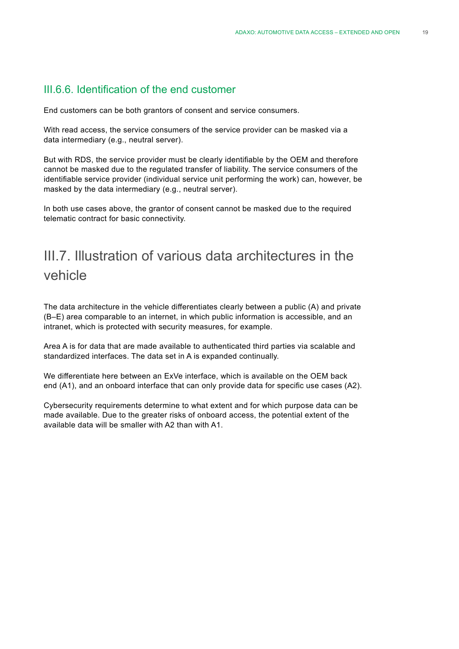### III.6.6. Identification of the end customer

End customers can be both grantors of consent and service consumers.

With read access, the service consumers of the service provider can be masked via a data intermediary (e.g., neutral server).

But with RDS, the service provider must be clearly identifiable by the OEM and therefore cannot be masked due to the regulated transfer of liability. The service consumers of the identifiable service provider (individual service unit performing the work) can, however, be masked by the data intermediary (e.g., neutral server).

In both use cases above, the grantor of consent cannot be masked due to the required telematic contract for basic connectivity.

# III.7. Illustration of various data architectures in the vehicle

The data architecture in the vehicle differentiates clearly between a public (A) and private (B–E) area comparable to an internet, in which public information is accessible, and an intranet, which is protected with security measures, for example.

Area A is for data that are made available to authenticated third parties via scalable and standardized interfaces. The data set in A is expanded continually.

We differentiate here between an ExVe interface, which is available on the OEM back end (A1), and an onboard interface that can only provide data for specific use cases (A2).

Cybersecurity requirements determine to what extent and for which purpose data can be made available. Due to the greater risks of onboard access, the potential extent of the available data will be smaller with A2 than with A1.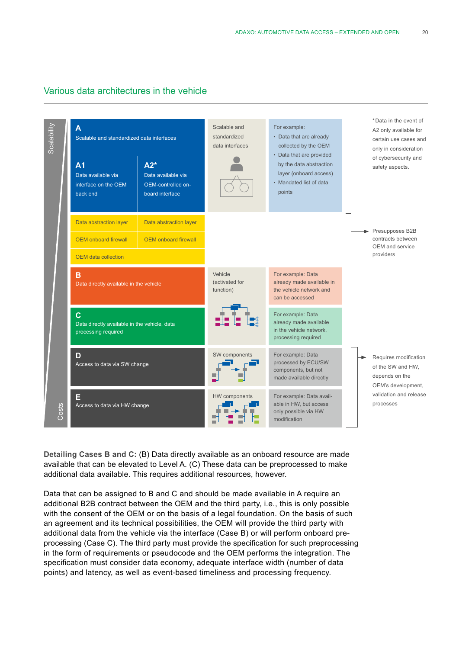

#### Various data architectures in the vehicle

**Detailing Cases B and C:** (B) Data directly available as an onboard resource are made available that can be elevated to Level A. (C) These data can be preprocessed to make additional data available. This requires additional resources, however.

Data that can be assigned to B and C and should be made available in A require an additional B2B contract between the OEM and the third party, i.e., this is only possible with the consent of the OEM or on the basis of a legal foundation. On the basis of such an agreement and its technical possibilities, the OEM will provide the third party with additional data from the vehicle via the interface (Case B) or will perform onboard preprocessing (Case C). The third party must provide the specification for such preprocessing in the form of requirements or pseudocode and the OEM performs the integration. The specification must consider data economy, adequate interface width (number of data points) and latency, as well as event-based timeliness and processing frequency.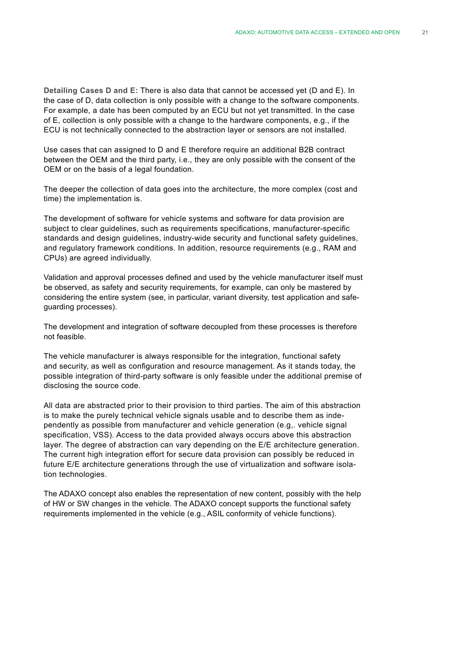**Detailing Cases D and E:** There is also data that cannot be accessed yet (D and E). In the case of D, data collection is only possible with a change to the software components. For example, a date has been computed by an ECU but not yet transmitted. In the case of E, collection is only possible with a change to the hardware components, e.g., if the ECU is not technically connected to the abstraction layer or sensors are not installed.

Use cases that can assigned to D and E therefore require an additional B2B contract between the OEM and the third party, i.e., they are only possible with the consent of the OEM or on the basis of a legal foundation.

The deeper the collection of data goes into the architecture, the more complex (cost and time) the implementation is.

The development of software for vehicle systems and software for data provision are subject to clear guidelines, such as requirements specifications, manufacturer-specific standards and design guidelines, industry-wide security and functional safety guidelines, and regulatory framework conditions. In addition, resource requirements (e.g., RAM and CPUs) are agreed individually.

Validation and approval processes defined and used by the vehicle manufacturer itself must be observed, as safety and security requirements, for example, can only be mastered by considering the entire system (see, in particular, variant diversity, test application and safeguarding processes).

The development and integration of software decoupled from these processes is therefore not feasible.

The vehicle manufacturer is always responsible for the integration, functional safety and security, as well as configuration and resource management. As it stands today, the possible integration of third-party software is only feasible under the additional premise of disclosing the source code.

All data are abstracted prior to their provision to third parties. The aim of this abstraction is to make the purely technical vehicle signals usable and to describe them as independently as possible from manufacturer and vehicle generation (e.g,. vehicle signal specification, VSS). Access to the data provided always occurs above this abstraction layer. The degree of abstraction can vary depending on the E/E architecture generation. The current high integration effort for secure data provision can possibly be reduced in future E/E architecture generations through the use of virtualization and software isolation technologies.

The ADAXO concept also enables the representation of new content, possibly with the help of HW or SW changes in the vehicle. The ADAXO concept supports the functional safety requirements implemented in the vehicle (e.g., ASIL conformity of vehicle functions).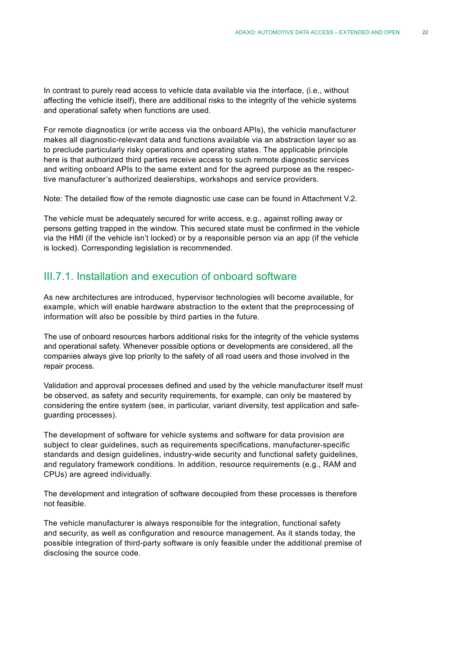In contrast to purely read access to vehicle data available via the interface, (i.e., without affecting the vehicle itself), there are additional risks to the integrity of the vehicle systems and operational safety when functions are used.

For remote diagnostics (or write access via the onboard APIs), the vehicle manufacturer makes all diagnostic-relevant data and functions available via an abstraction layer so as to preclude particularly risky operations and operating states. The applicable principle here is that authorized third parties receive access to such remote diagnostic services and writing onboard APIs to the same extent and for the agreed purpose as the respective manufacturer's authorized dealerships, workshops and service providers.

Note: The detailed flow of the remote diagnostic use case can be found in Attachment V.2.

The vehicle must be adequately secured for write access, e.g., against rolling away or persons getting trapped in the window. This secured state must be confirmed in the vehicle via the HMI (if the vehicle isn't locked) or by a responsible person via an app (if the vehicle is locked). Corresponding legislation is recommended.

### III.7.1. Installation and execution of onboard software

As new architectures are introduced, hypervisor technologies will become available, for example, which will enable hardware abstraction to the extent that the preprocessing of information will also be possible by third parties in the future.

The use of onboard resources harbors additional risks for the integrity of the vehicle systems and operational safety. Whenever possible options or developments are considered, all the companies always give top priority to the safety of all road users and those involved in the repair process.

Validation and approval processes defined and used by the vehicle manufacturer itself must be observed, as safety and security requirements, for example, can only be mastered by considering the entire system (see, in particular, variant diversity, test application and safeguarding processes).

The development of software for vehicle systems and software for data provision are subject to clear guidelines, such as requirements specifications, manufacturer-specific standards and design guidelines, industry-wide security and functional safety guidelines, and regulatory framework conditions. In addition, resource requirements (e.g., RAM and CPUs) are agreed individually.

The development and integration of software decoupled from these processes is therefore not feasible.

The vehicle manufacturer is always responsible for the integration, functional safety and security, as well as configuration and resource management. As it stands today, the possible integration of third-party software is only feasible under the additional premise of disclosing the source code.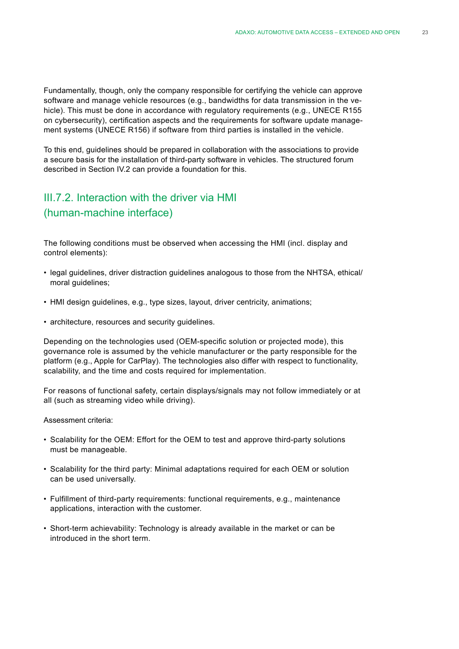Fundamentally, though, only the company responsible for certifying the vehicle can approve software and manage vehicle resources (e.g., bandwidths for data transmission in the vehicle). This must be done in accordance with regulatory requirements (e.g., UNECE R155 on cybersecurity), certification aspects and the requirements for software update management systems (UNECE R156) if software from third parties is installed in the vehicle.

To this end, guidelines should be prepared in collaboration with the associations to provide a secure basis for the installation of third-party software in vehicles. The structured forum described in Section IV.2 can provide a foundation for this.

### III.7.2. Interaction with the driver via HMI (human-machine interface)

The following conditions must be observed when accessing the HMI (incl. display and control elements):

- legal guidelines, driver distraction guidelines analogous to those from the NHTSA, ethical/ moral guidelines;
- HMI design guidelines, e.g., type sizes, layout, driver centricity, animations;
- architecture, resources and security guidelines.

Depending on the technologies used (OEM-specific solution or projected mode), this governance role is assumed by the vehicle manufacturer or the party responsible for the platform (e.g., Apple for CarPlay). The technologies also differ with respect to functionality, scalability, and the time and costs required for implementation.

For reasons of functional safety, certain displays/signals may not follow immediately or at all (such as streaming video while driving).

Assessment criteria:

- Scalability for the OEM: Effort for the OEM to test and approve third-party solutions must be manageable.
- Scalability for the third party: Minimal adaptations required for each OEM or solution can be used universally.
- Fulfillment of third-party requirements: functional requirements, e.g., maintenance applications, interaction with the customer.
- Short-term achievability: Technology is already available in the market or can be introduced in the short term.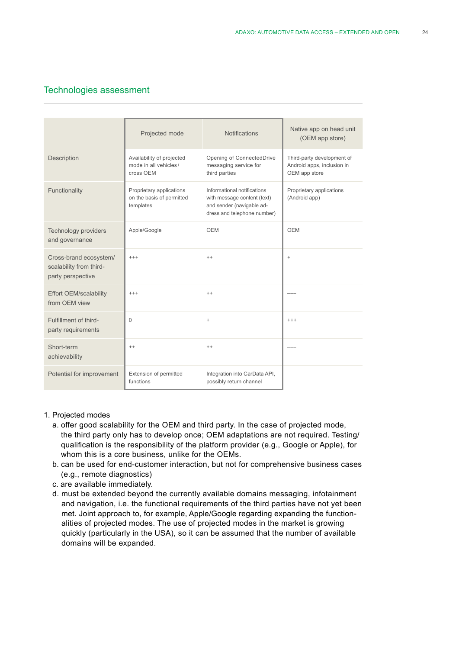#### Technologies assessment

|                                                                        | Projected mode                                                     | <b>Notifications</b>                                                                                                   | Native app on head unit<br>(OEM app store)                                |
|------------------------------------------------------------------------|--------------------------------------------------------------------|------------------------------------------------------------------------------------------------------------------------|---------------------------------------------------------------------------|
| Description                                                            | Availability of projected<br>mode in all vehicles/<br>cross OEM    | Opening of ConnectedDrive<br>messaging service for<br>third parties                                                    | Third-party development of<br>Android apps, inclusion in<br>OEM app store |
| Functionality                                                          | Proprietary applications<br>on the basis of permitted<br>templates | Informational notifications<br>with message content (text)<br>and sender (navigable ad-<br>dress and telephone number) | Proprietary applications<br>(Android app)                                 |
| Technology providers<br>and governance                                 | Apple/Google                                                       | <b>OEM</b>                                                                                                             | <b>OEM</b>                                                                |
| Cross-brand ecosystem/<br>scalability from third-<br>party perspective | $+++$                                                              | $^{++}$                                                                                                                | $+$                                                                       |
| <b>Effort OEM/scalability</b><br>from OEM view                         | $^{+++}$                                                           | $^{++}$                                                                                                                |                                                                           |
| Fulfillment of third-<br>party requirements                            | $\Omega$                                                           | $\ddot{}$                                                                                                              | $+++$                                                                     |
| Short-term<br>achievability                                            | $^{++}$                                                            | $++$                                                                                                                   |                                                                           |
| Potential for improvement                                              | Extension of permitted<br>functions                                | Integration into CarData API,<br>possibly return channel                                                               |                                                                           |

- 1. Projected modes
	- a. offer good scalability for the OEM and third party. In the case of projected mode, the third party only has to develop once; OEM adaptations are not required. Testing/ qualification is the responsibility of the platform provider (e.g., Google or Apple), for whom this is a core business, unlike for the OEMs.
	- b. can be used for end-customer interaction, but not for comprehensive business cases (e.g., remote diagnostics)
	- c. are available immediately.
	- d. must be extended beyond the currently available domains messaging, infotainment and navigation, i.e. the functional requirements of the third parties have not yet been met. Joint approach to, for example, Apple/Google regarding expanding the functionalities of projected modes. The use of projected modes in the market is growing quickly (particularly in the USA), so it can be assumed that the number of available domains will be expanded.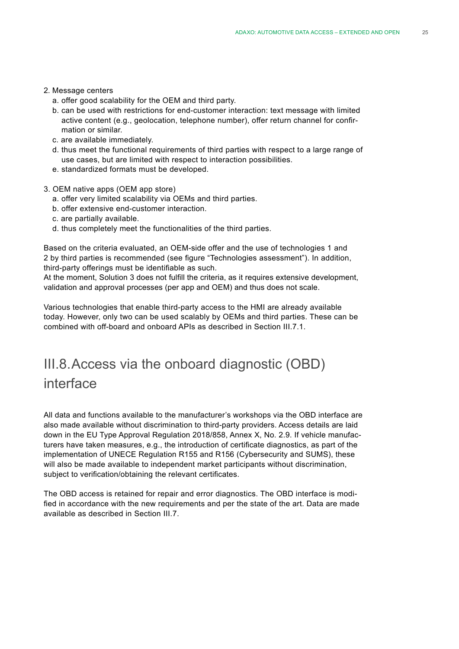#### 2. Message centers

- a. offer good scalability for the OEM and third party.
- b. can be used with restrictions for end-customer interaction: text message with limited active content (e.g., geolocation, telephone number), offer return channel for confirmation or similar.
- c. are available immediately.
- d. thus meet the functional requirements of third parties with respect to a large range of use cases, but are limited with respect to interaction possibilities.
- e. standardized formats must be developed.
- 3. OEM native apps (OEM app store)
	- a. offer very limited scalability via OEMs and third parties.
	- b. offer extensive end-customer interaction.
	- c. are partially available.
	- d. thus completely meet the functionalities of the third parties.

Based on the criteria evaluated, an OEM-side offer and the use of technologies 1 and 2 by third parties is recommended (see figure "Technologies assessment"). In addition, third-party offerings must be identifiable as such.

At the moment, Solution 3 does not fulfill the criteria, as it requires extensive development, validation and approval processes (per app and OEM) and thus does not scale.

Various technologies that enable third-party access to the HMI are already available today. However, only two can be used scalably by OEMs and third parties. These can be combined with off-board and onboard APIs as described in Section III.7.1.

# III.8.Access via the onboard diagnostic (OBD) interface

All data and functions available to the manufacturer's workshops via the OBD interface are also made available without discrimination to third-party providers. Access details are laid down in the EU Type Approval Regulation 2018/858, Annex X, No. 2.9. If vehicle manufacturers have taken measures, e.g., the introduction of certificate diagnostics, as part of the implementation of UNECE Regulation R155 and R156 (Cybersecurity and SUMS), these will also be made available to independent market participants without discrimination, subject to verification/obtaining the relevant certificates.

The OBD access is retained for repair and error diagnostics. The OBD interface is modified in accordance with the new requirements and per the state of the art. Data are made available as described in Section III.7.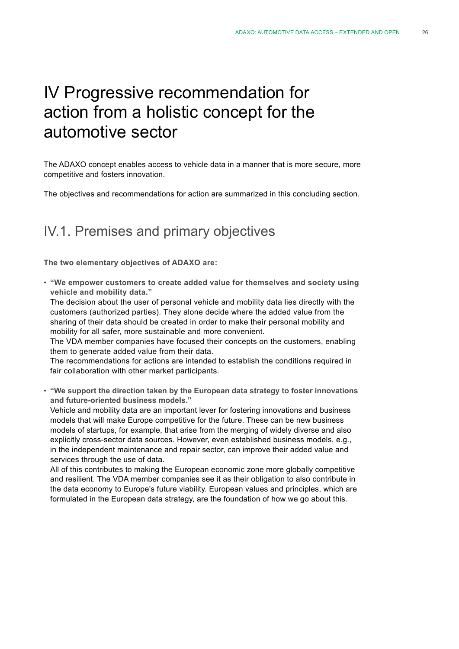# IV Progressive recommendation for action from a holistic concept for the automotive sector

The ADAXO concept enables access to vehicle data in a manner that is more secure, more competitive and fosters innovation.

The objectives and recommendations for action are summarized in this concluding section.

# IV.1. Premises and primary objectives

**The two elementary objectives of ADAXO are:**

• **"We empower customers to create added value for themselves and society using vehicle and mobility data."**

The decision about the user of personal vehicle and mobility data lies directly with the customers (authorized parties). They alone decide where the added value from the sharing of their data should be created in order to make their personal mobility and mobility for all safer, more sustainable and more convenient.

The VDA member companies have focused their concepts on the customers, enabling them to generate added value from their data.

The recommendations for actions are intended to establish the conditions required in fair collaboration with other market participants.

• **"We support the direction taken by the European data strategy to foster innovations and future-oriented business models."**

Vehicle and mobility data are an important lever for fostering innovations and business models that will make Europe competitive for the future. These can be new business models of startups, for example, that arise from the merging of widely diverse and also explicitly cross-sector data sources. However, even established business models, e.g., in the independent maintenance and repair sector, can improve their added value and services through the use of data.

All of this contributes to making the European economic zone more globally competitive and resilient. The VDA member companies see it as their obligation to also contribute in the data economy to Europe's future viability. European values and principles, which are formulated in the European data strategy, are the foundation of how we go about this.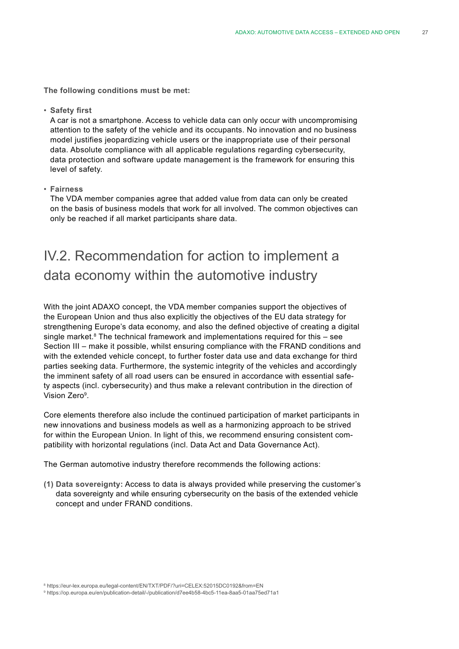**The following conditions must be met:**

• **Safety first** 

A car is not a smartphone. Access to vehicle data can only occur with uncompromising attention to the safety of the vehicle and its occupants. No innovation and no business model justifies jeopardizing vehicle users or the inappropriate use of their personal data. Absolute compliance with all applicable regulations regarding cybersecurity, data protection and software update management is the framework for ensuring this level of safety.

• **Fairness**

The VDA member companies agree that added value from data can only be created on the basis of business models that work for all involved. The common objectives can only be reached if all market participants share data.

# IV.2. Recommendation for action to implement a data economy within the automotive industry

With the joint ADAXO concept, the VDA member companies support the objectives of the European Union and thus also explicitly the objectives of the EU data strategy for strengthening Europe's data economy, and also the defined objective of creating a digital single market. $8$  The technical framework and implementations required for this – see Section III – make it possible, whilst ensuring compliance with the FRAND conditions and with the extended vehicle concept, to further foster data use and data exchange for third parties seeking data. Furthermore, the systemic integrity of the vehicles and accordingly the imminent safety of all road users can be ensured in accordance with essential safety aspects (incl. cybersecurity) and thus make a relevant contribution in the direction of Vision Zero9.

Core elements therefore also include the continued participation of market participants in new innovations and business models as well as a harmonizing approach to be strived for within the European Union. In light of this, we recommend ensuring consistent compatibility with horizontal regulations (incl. Data Act and Data Governance Act).

The German automotive industry therefore recommends the following actions:

**(1) Data sovereignty:** Access to data is always provided while preserving the customer's data sovereignty and while ensuring cybersecurity on the basis of the extended vehicle concept and under FRAND conditions.

<sup>8</sup> https://eur-lex.europa.eu/legal-content/EN/TXT/PDF/?uri=CELEX:52015DC0192&from=EN

<sup>9</sup> https://op.europa.eu/en/publication-detail/-/publication/d7ee4b58-4bc5-11ea-8aa5-01aa75ed71a1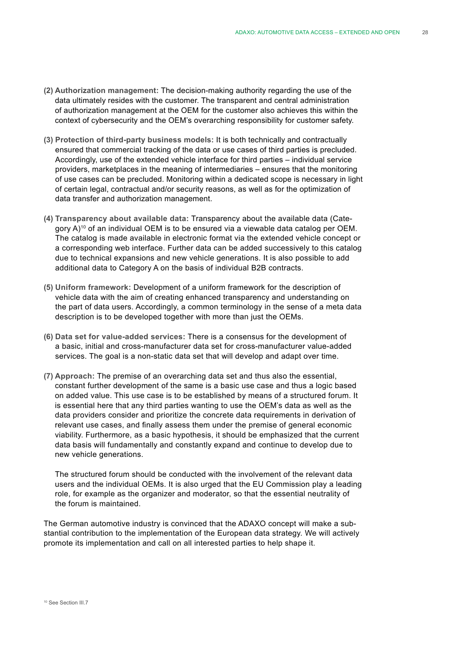- **(2) Authorization management:** The decision-making authority regarding the use of the data ultimately resides with the customer. The transparent and central administration of authorization management at the OEM for the customer also achieves this within the context of cybersecurity and the OEM's overarching responsibility for customer safety.
- **(3) Protection of third-party business models:** It is both technically and contractually ensured that commercial tracking of the data or use cases of third parties is precluded. Accordingly, use of the extended vehicle interface for third parties – individual service providers, marketplaces in the meaning of intermediaries – ensures that the monitoring of use cases can be precluded. Monitoring within a dedicated scope is necessary in light of certain legal, contractual and/or security reasons, as well as for the optimization of data transfer and authorization management.
- **(4) Transparency about available data:** Transparency about the available data (Category  $A$ )<sup>10</sup> of an individual OEM is to be ensured via a viewable data catalog per OEM. The catalog is made available in electronic format via the extended vehicle concept or a corresponding web interface. Further data can be added successively to this catalog due to technical expansions and new vehicle generations. It is also possible to add additional data to Category A on the basis of individual B2B contracts.
- **(5) Uniform framework:** Development of a uniform framework for the description of vehicle data with the aim of creating enhanced transparency and understanding on the part of data users. Accordingly, a common terminology in the sense of a meta data description is to be developed together with more than just the OEMs.
- **(6) Data set for value-added services:** There is a consensus for the development of a basic, initial and cross-manufacturer data set for cross-manufacturer value-added services. The goal is a non-static data set that will develop and adapt over time.
- **(7) Approach:** The premise of an overarching data set and thus also the essential, constant further development of the same is a basic use case and thus a logic based on added value. This use case is to be established by means of a structured forum. It is essential here that any third parties wanting to use the OEM's data as well as the data providers consider and prioritize the concrete data requirements in derivation of relevant use cases, and finally assess them under the premise of general economic viability. Furthermore, as a basic hypothesis, it should be emphasized that the current data basis will fundamentally and constantly expand and continue to develop due to new vehicle generations.

The structured forum should be conducted with the involvement of the relevant data users and the individual OEMs. It is also urged that the EU Commission play a leading role, for example as the organizer and moderator, so that the essential neutrality of the forum is maintained.

The German automotive industry is convinced that the ADAXO concept will make a substantial contribution to the implementation of the European data strategy. We will actively promote its implementation and call on all interested parties to help shape it.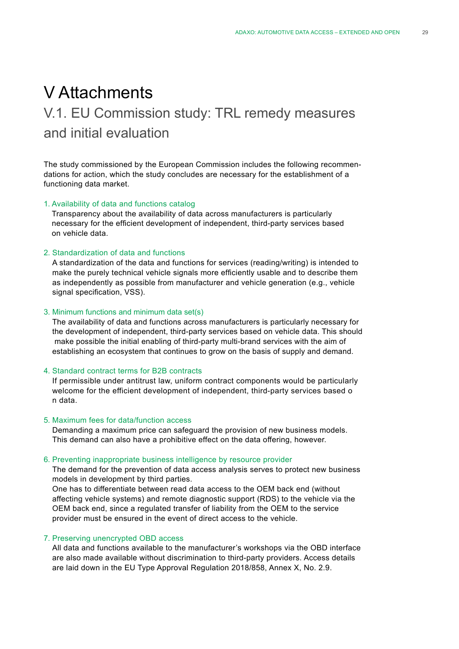# V Attachments

# V.1. EU Commission study: TRL remedy measures and initial evaluation

The study commissioned by the European Commission includes the following recommendations for action, which the study concludes are necessary for the establishment of a functioning data market.

#### 1. Availability of data and functions catalog

Transparency about the availability of data across manufacturers is particularly necessary for the efficient development of independent, third-party services based on vehicle data.

#### 2. Standardization of data and functions

A standardization of the data and functions for services (reading/writing) is intended to make the purely technical vehicle signals more efficiently usable and to describe them as independently as possible from manufacturer and vehicle generation (e.g., vehicle signal specification, VSS).

#### 3. Minimum functions and minimum data set(s)

The availability of data and functions across manufacturers is particularly necessary for the development of independent, third-party services based on vehicle data. This should make possible the initial enabling of third-party multi-brand services with the aim of establishing an ecosystem that continues to grow on the basis of supply and demand.

#### 4. Standard contract terms for B2B contracts

If permissible under antitrust law, uniform contract components would be particularly welcome for the efficient development of independent, third-party services based o n data.

#### 5. Maximum fees for data/function access

Demanding a maximum price can safeguard the provision of new business models. This demand can also have a prohibitive effect on the data offering, however.

#### 6. Preventing inappropriate business intelligence by resource provider

The demand for the prevention of data access analysis serves to protect new business models in development by third parties.

One has to differentiate between read data access to the OEM back end (without affecting vehicle systems) and remote diagnostic support (RDS) to the vehicle via the OEM back end, since a regulated transfer of liability from the OEM to the service provider must be ensured in the event of direct access to the vehicle.

#### 7. Preserving unencrypted OBD access

All data and functions available to the manufacturer's workshops via the OBD interface are also made available without discrimination to third-party providers. Access details are laid down in the EU Type Approval Regulation 2018/858, Annex X, No. 2.9.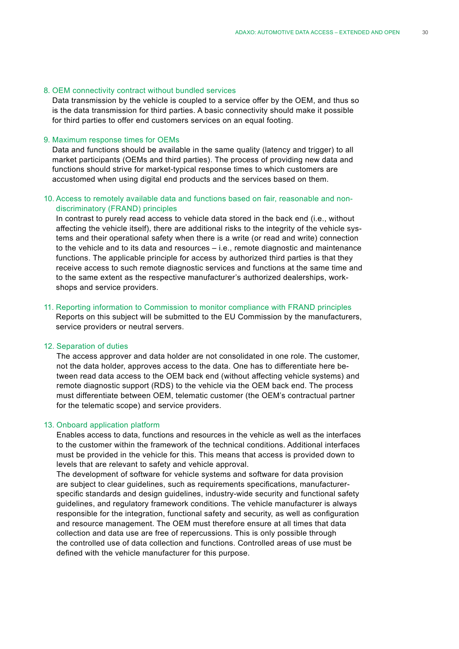#### 8. OEM connectivity contract without bundled services

Data transmission by the vehicle is coupled to a service offer by the OEM, and thus so is the data transmission for third parties. A basic connectivity should make it possible for third parties to offer end customers services on an equal footing.

#### 9. Maximum response times for OEMs

Data and functions should be available in the same quality (latency and trigger) to all market participants (OEMs and third parties). The process of providing new data and functions should strive for market-typical response times to which customers are accustomed when using digital end products and the services based on them.

#### 10. Access to remotely available data and functions based on fair, reasonable and nondiscriminatory (FRAND) principles

In contrast to purely read access to vehicle data stored in the back end (i.e., without affecting the vehicle itself), there are additional risks to the integrity of the vehicle systems and their operational safety when there is a write (or read and write) connection to the vehicle and to its data and resources – i.e., remote diagnostic and maintenance functions. The applicable principle for access by authorized third parties is that they receive access to such remote diagnostic services and functions at the same time and to the same extent as the respective manufacturer's authorized dealerships, workshops and service providers.

11. Reporting information to Commission to monitor compliance with FRAND principles Reports on this subject will be submitted to the EU Commission by the manufacturers, service providers or neutral servers.

#### 12. Separation of duties

The access approver and data holder are not consolidated in one role. The customer, not the data holder, approves access to the data. One has to differentiate here between read data access to the OEM back end (without affecting vehicle systems) and remote diagnostic support (RDS) to the vehicle via the OEM back end. The process must differentiate between OEM, telematic customer (the OEM's contractual partner for the telematic scope) and service providers.

#### 13. Onboard application platform

Enables access to data, functions and resources in the vehicle as well as the interfaces to the customer within the framework of the technical conditions. Additional interfaces must be provided in the vehicle for this. This means that access is provided down to levels that are relevant to safety and vehicle approval.

The development of software for vehicle systems and software for data provision are subject to clear guidelines, such as requirements specifications, manufacturerspecific standards and design guidelines, industry-wide security and functional safety guidelines, and regulatory framework conditions. The vehicle manufacturer is always responsible for the integration, functional safety and security, as well as configuration and resource management. The OEM must therefore ensure at all times that data collection and data use are free of repercussions. This is only possible through the controlled use of data collection and functions. Controlled areas of use must be defined with the vehicle manufacturer for this purpose.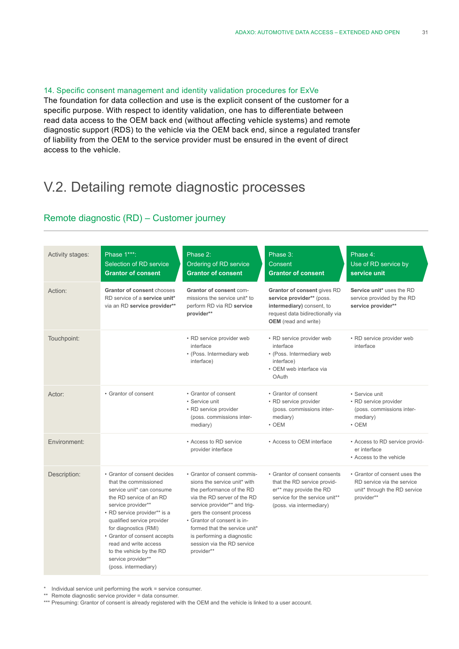#### 14. Specific consent management and identity validation procedures for ExVe

The foundation for data collection and use is the explicit consent of the customer for a specific purpose. With respect to identity validation, one has to differentiate between read data access to the OEM back end (without affecting vehicle systems) and remote diagnostic support (RDS) to the vehicle via the OEM back end, since a regulated transfer of liability from the OEM to the service provider must be ensured in the event of direct access to the vehicle.

# V.2. Detailing remote diagnostic processes

### Remote diagnostic (RD) – Customer journey

| Activity stages: | Phase 1***:<br>Selection of RD service<br><b>Grantor of consent</b>                                                                                                                                                                                                                                                                                           | Phase 2:<br>Ordering of RD service<br><b>Grantor of consent</b>                                                                                                                                                                                                                                                                | Phase 3:<br>Consent<br><b>Grantor of consent</b>                                                                                                         | Phase 4:<br>Use of RD service by<br>service unit                                                          |
|------------------|---------------------------------------------------------------------------------------------------------------------------------------------------------------------------------------------------------------------------------------------------------------------------------------------------------------------------------------------------------------|--------------------------------------------------------------------------------------------------------------------------------------------------------------------------------------------------------------------------------------------------------------------------------------------------------------------------------|----------------------------------------------------------------------------------------------------------------------------------------------------------|-----------------------------------------------------------------------------------------------------------|
| Action:          | <b>Grantor of consent chooses</b><br>RD service of a service unit*<br>via an RD service provider**                                                                                                                                                                                                                                                            | Grantor of consent com-<br>missions the service unit* to<br>perform RD via RD service<br>provider**                                                                                                                                                                                                                            | Grantor of consent gives RD<br>service provider** (poss.<br>intermediary) consent, to<br>request data bidirectionally via<br><b>OEM</b> (read and write) | Service unit* uses the RD<br>service provided by the RD<br>service provider**                             |
| Touchpoint:      |                                                                                                                                                                                                                                                                                                                                                               | • RD service provider web<br>interface<br>• (Poss. Intermediary web<br>interface)                                                                                                                                                                                                                                              | • RD service provider web<br>interface<br>• (Poss. Intermediary web<br>interface)<br>• OEM web interface via<br>OAuth                                    | • RD service provider web<br>interface                                                                    |
| Actor:           | • Grantor of consent                                                                                                                                                                                                                                                                                                                                          | • Grantor of consent<br>• Service unit<br>• RD service provider<br>(poss. commissions inter-<br>mediary)                                                                                                                                                                                                                       | • Grantor of consent<br>• RD service provider<br>(poss. commissions inter-<br>mediary)<br>$\cdot$ OEM                                                    | • Service unit<br>• RD service provider<br>(poss. commissions inter-<br>mediary)<br>$\cdot$ OEM           |
| Environment:     |                                                                                                                                                                                                                                                                                                                                                               | • Access to RD service<br>provider interface                                                                                                                                                                                                                                                                                   | • Access to OEM interface                                                                                                                                | • Access to RD service provid-<br>er interface<br>• Access to the vehicle                                 |
| Description:     | • Grantor of consent decides<br>that the commissioned<br>service unit* can consume<br>the RD service of an RD<br>service provider**<br>• RD service provider** is a<br>qualified service provider<br>for diagnostics (RMI)<br>• Grantor of consent accepts<br>read and write access<br>to the vehicle by the RD<br>service provider**<br>(poss. intermediary) | • Grantor of consent commis-<br>sions the service unit* with<br>the performance of the RD<br>via the RD server of the RD<br>service provider** and trig-<br>gers the consent process<br>• Grantor of consent is in-<br>formed that the service unit*<br>is performing a diagnostic<br>session via the RD service<br>provider** | • Grantor of consent consents<br>that the RD service provid-<br>er** may provide the RD<br>service for the service unit**<br>(poss. via intermediary)    | • Grantor of consent uses the<br>RD service via the service<br>unit* through the RD service<br>provider** |

Individual service unit performing the work = service consumer.

\*\* Remote diagnostic service provider = data consumer.

\*\*\* Presuming: Grantor of consent is already registered with the OEM and the vehicle is linked to a user account.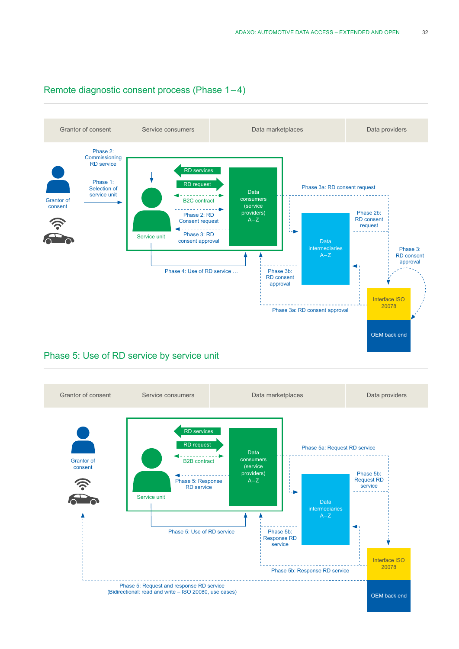

#### Remote diagnostic consent process (Phase 1 – 4)

### Phase 5: Use of RD service by service unit

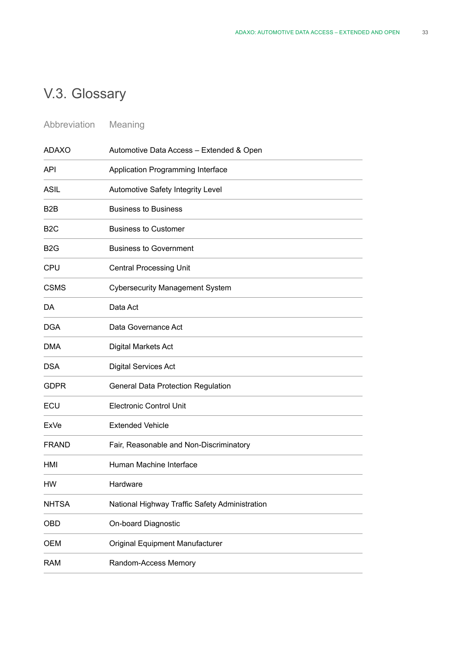# V.3. Glossary

| Abbreviation | Meaning |
|--------------|---------|
|--------------|---------|

| <b>ADAXO</b>     | Automotive Data Access - Extended & Open       |
|------------------|------------------------------------------------|
| <b>API</b>       | Application Programming Interface              |
| <b>ASIL</b>      | Automotive Safety Integrity Level              |
| B <sub>2</sub> B | <b>Business to Business</b>                    |
| B <sub>2</sub> C | <b>Business to Customer</b>                    |
| B <sub>2</sub> G | <b>Business to Government</b>                  |
| <b>CPU</b>       | <b>Central Processing Unit</b>                 |
| <b>CSMS</b>      | <b>Cybersecurity Management System</b>         |
| DA               | Data Act                                       |
| <b>DGA</b>       | Data Governance Act                            |
| <b>DMA</b>       | Digital Markets Act                            |
| <b>DSA</b>       | <b>Digital Services Act</b>                    |
| <b>GDPR</b>      | General Data Protection Regulation             |
| ECU              | <b>Electronic Control Unit</b>                 |
| ExVe             | <b>Extended Vehicle</b>                        |
| <b>FRAND</b>     | Fair, Reasonable and Non-Discriminatory        |
| HMI              | Human Machine Interface                        |
| HW               | Hardware                                       |
| <b>NHTSA</b>     | National Highway Traffic Safety Administration |
| <b>OBD</b>       | On-board Diagnostic                            |
| <b>OEM</b>       | Original Equipment Manufacturer                |
| <b>RAM</b>       | Random-Access Memory                           |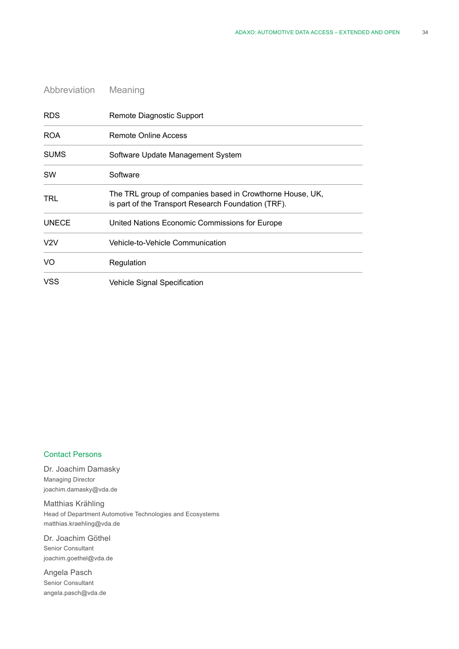| Abbreviation | Meaning                                                                                                          |
|--------------|------------------------------------------------------------------------------------------------------------------|
| <b>RDS</b>   | Remote Diagnostic Support                                                                                        |
| <b>ROA</b>   | Remote Online Access                                                                                             |
| <b>SUMS</b>  | Software Update Management System                                                                                |
| <b>SW</b>    | Software                                                                                                         |
| TRL          | The TRL group of companies based in Crowthorne House, UK,<br>is part of the Transport Research Foundation (TRF). |
| <b>UNECE</b> | United Nations Economic Commissions for Europe                                                                   |
| V2V          | Vehicle-to-Vehicle Communication                                                                                 |
| VO           | Regulation                                                                                                       |
| VSS          | Vehicle Signal Specification                                                                                     |

#### Contact Persons

Dr. Joachim Damasky Managing Director joachim.damasky@vda.de

Matthias Krähling Head of Department Automotive Technologies and Ecosystems matthias.kraehling@vda.de

Dr. Joachim Göthel Senior Consultant joachim.goethel@vda.de

Angela Pasch Senior Consultant angela.pasch@vda.de